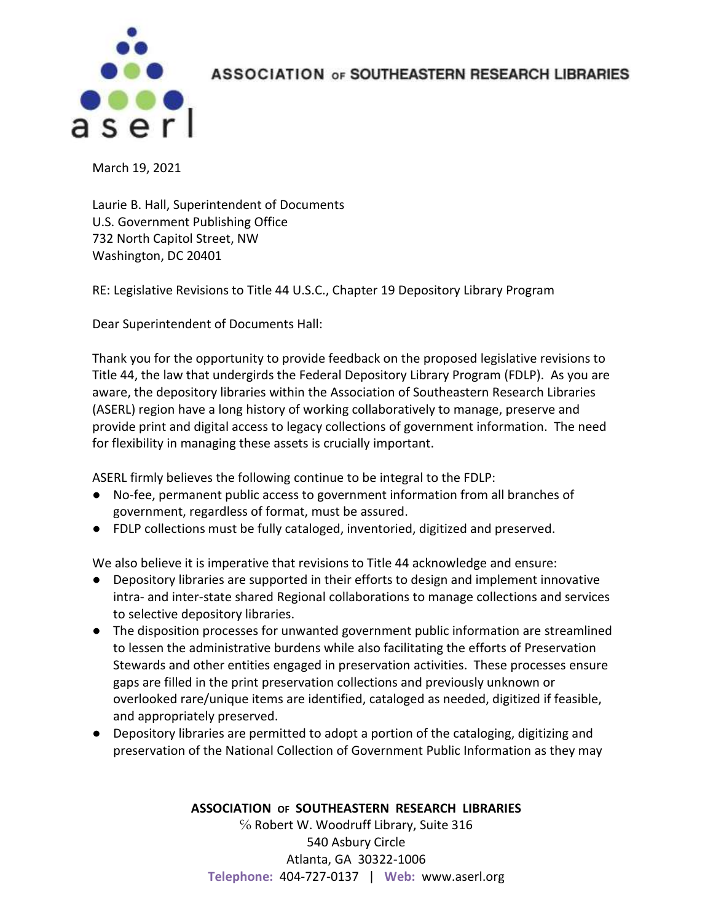

ASSOCIATION OF SOUTHEASTERN RESEARCH LIBRARIES

March 19, 2021

Laurie B. Hall, Superintendent of Documents U.S. Government Publishing Office 732 North Capitol Street, NW Washington, DC 20401

RE: Legislative Revisions to Title 44 U.S.C., Chapter 19 Depository Library Program

Dear Superintendent of Documents Hall:

Thank you for the opportunity to provide feedback on the proposed legislative revisions to Title 44, the law that undergirds the Federal Depository Library Program (FDLP). As you are aware, the depository libraries within the Association of Southeastern Research Libraries (ASERL) region have a long history of working collaboratively to manage, preserve and provide print and digital access to legacy collections of government information. The need for flexibility in managing these assets is crucially important.

ASERL firmly believes the following continue to be integral to the FDLP:

- No-fee, permanent public access to government information from all branches of government, regardless of format, must be assured.
- FDLP collections must be fully cataloged, inventoried, digitized and preserved.

We also believe it is imperative that revisions to Title 44 acknowledge and ensure:

- Depository libraries are supported in their efforts to design and implement innovative intra- and inter-state shared Regional collaborations to manage collections and services to selective depository libraries.
- The disposition processes for unwanted government public information are streamlined to lessen the administrative burdens while also facilitating the efforts of Preservation Stewards and other entities engaged in preservation activities. These processes ensure gaps are filled in the print preservation collections and previously unknown or overlooked rare/unique items are identified, cataloged as needed, digitized if feasible, and appropriately preserved.
- Depository libraries are permitted to adopt a portion of the cataloging, digitizing and preservation of the National Collection of Government Public Information as they may

## **ASSOCIATION OF SOUTHEASTERN RESEARCH LIBRARIES**

℅ Robert W. Woodruff Library, Suite 316 540 Asbury Circle Atlanta, GA 30322-1006 **Telephone:** 404-727-0137 | **Web:** www.aserl.org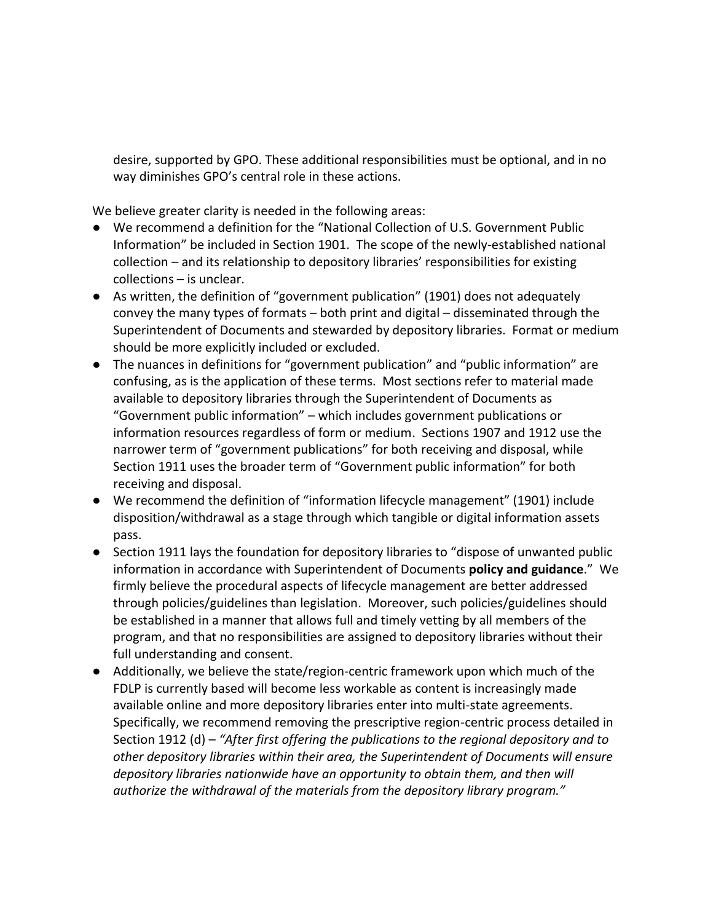desire, supported by GPO. These additional responsibilities must be optional, and in no way diminishes GPO's central role in these actions.

We believe greater clarity is needed in the following areas:

- We recommend a definition for the "National Collection of U.S. Government Public Information" be included in Section 1901. The scope of the newly-established national collection – and its relationship to depository libraries' responsibilities for existing collections – is unclear.
- As written, the definition of "government publication" (1901) does not adequately convey the many types of formats – both print and digital – disseminated through the Superintendent of Documents and stewarded by depository libraries. Format or medium should be more explicitly included or excluded.
- The nuances in definitions for "government publication" and "public information" are confusing, as is the application of these terms. Most sections refer to material made available to depository libraries through the Superintendent of Documents as "Government public information" – which includes government publications or information resources regardless of form or medium. Sections 1907 and 1912 use the narrower term of "government publications" for both receiving and disposal, while Section 1911 uses the broader term of "Government public information" for both receiving and disposal.
- We recommend the definition of "information lifecycle management" (1901) include disposition/withdrawal as a stage through which tangible or digital information assets pass.
- Section 1911 lays the foundation for depository libraries to "dispose of unwanted public information in accordance with Superintendent of Documents **policy and guidance**." We firmly believe the procedural aspects of lifecycle management are better addressed through policies/guidelines than legislation. Moreover, such policies/guidelines should be established in a manner that allows full and timely vetting by all members of the program, and that no responsibilities are assigned to depository libraries without their full understanding and consent.
- Additionally, we believe the state/region-centric framework upon which much of the FDLP is currently based will become less workable as content is increasingly made available online and more depository libraries enter into multi-state agreements. Specifically, we recommend removing the prescriptive region-centric process detailed in Section 1912 (d) – *"After first offering the publications to the regional depository and to other depository libraries within their area, the Superintendent of Documents will ensure depository libraries nationwide have an opportunity to obtain them, and then will authorize the withdrawal of the materials from the depository library program."*